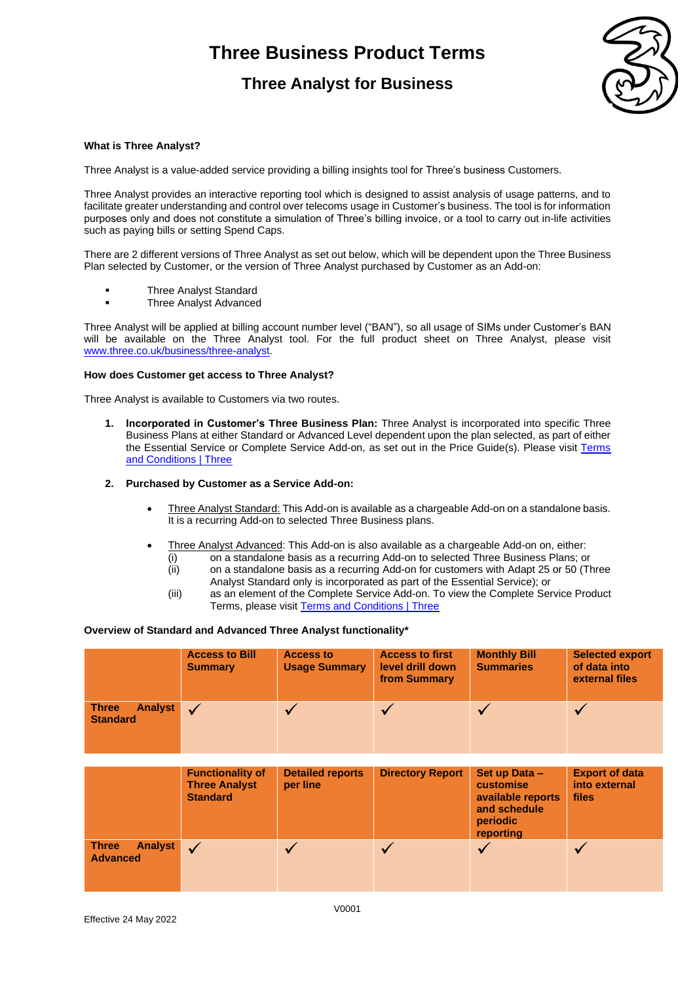### **Three Analyst for Business**



### **What is Three Analyst?**

Three Analyst is a value-added service providing a billing insights tool for Three's business Customers.

Three Analyst provides an interactive reporting tool which is designed to assist analysis of usage patterns, and to facilitate greater understanding and control over telecoms usage in Customer's business. The tool is for information purposes only and does not constitute a simulation of Three's billing invoice, or a tool to carry out in-life activities such as paying bills or setting Spend Caps.

There are 2 different versions of Three Analyst as set out below, which will be dependent upon the Three Business Plan selected by Customer, or the version of Three Analyst purchased by Customer as an Add-on:

- Three Analyst Standard
- Three Analyst Advanced

Three Analyst will be applied at billing account number level ("BAN"), so all usage of SIMs under Customer's BAN will be available on the Three Analyst tool. For the full product sheet on Three Analyst, please visit [www.three.co.uk/business/three-analyst.](http://www.three.co.uk/business/three-analyst)

### **How does Customer get access to Three Analyst?**

Three Analyst is available to Customers via two routes.

**1. Incorporated in Customer's Three Business Plan:** Three Analyst is incorporated into specific Three Business Plans at either Standard or Advanced Level dependent upon the plan selected, as part of either the Essential Service or Complete Service Add-on, as set out in the Price Guide(s). Please visit Terms [and Conditions | Three](https://www.three.co.uk/terms-conditions)

### **2. Purchased by Customer as a Service Add-on:**

- Three Analyst Standard: This Add-on is available as a chargeable Add-on on a standalone basis. It is a recurring Add-on to selected Three Business plans.
- Three Analyst Advanced: This Add-on is also available as a chargeable Add-on on, either:
	- (i) on a standalone basis as a recurring Add-on to selected Three Business Plans; or
	- (ii) on a standalone basis as a recurring Add-on for customers with Adapt 25 or 50 (Three Analyst Standard only is incorporated as part of the Essential Service); or
	- (iii) as an element of the Complete Service Add-on. To view the Complete Service Product Terms, please visi[t Terms and Conditions | Three](https://www.three.co.uk/terms-conditions)

### **Overview of Standard and Advanced Three Analyst functionality\***

|                                                   | <b>Access to Bill</b><br><b>Summary</b>                            | <b>Access to</b><br><b>Usage Summary</b> | <b>Access to first</b><br>level drill down<br>from Summary | <b>Monthly Bill</b><br><b>Summaries</b>                                                         | <b>Selected export</b><br>of data into<br>external files |
|---------------------------------------------------|--------------------------------------------------------------------|------------------------------------------|------------------------------------------------------------|-------------------------------------------------------------------------------------------------|----------------------------------------------------------|
| <b>Analyst</b><br><b>Three</b><br><b>Standard</b> | $\checkmark$                                                       | $\sqrt{}$                                |                                                            |                                                                                                 | $\sqrt{}$                                                |
|                                                   |                                                                    |                                          |                                                            |                                                                                                 |                                                          |
|                                                   | <b>Functionality of</b><br><b>Three Analyst</b><br><b>Standard</b> | <b>Detailed reports</b><br>per line      | <b>Directory Report</b>                                    | Set up Data -<br><b>customise</b><br>available reports<br>and schedule<br>periodic<br>reporting | <b>Export of data</b><br>into external<br>files          |
| <b>Analyst</b><br><b>Three</b><br><b>Advanced</b> | $\checkmark$                                                       | ✓                                        |                                                            |                                                                                                 | $\sqrt{}$                                                |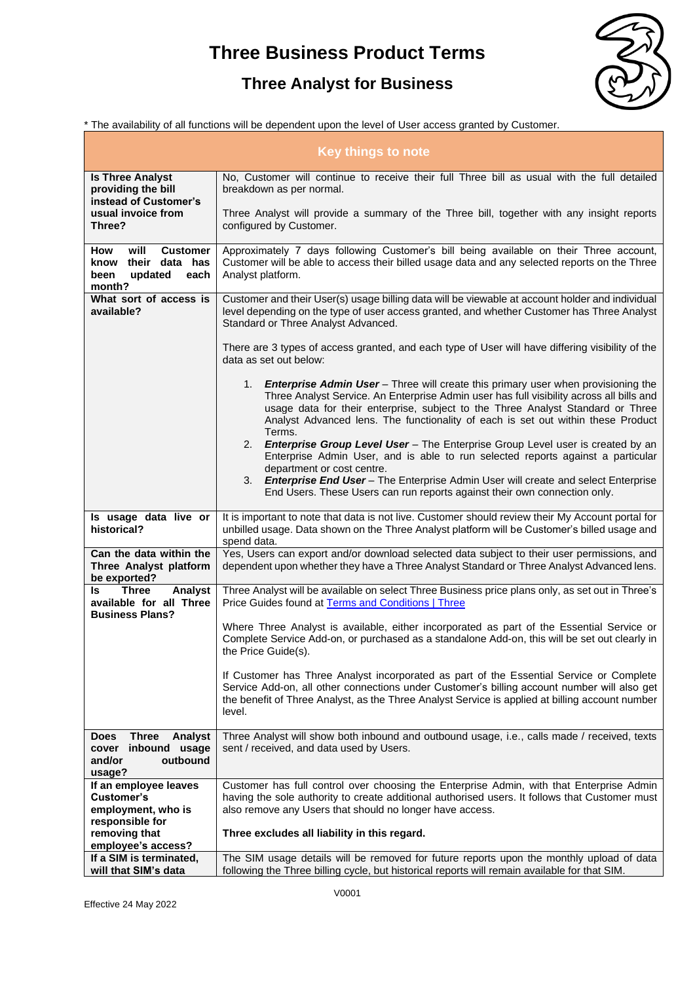## **Three Analyst for Business**



\* The availability of all functions will be dependent upon the level of User access granted by Customer.

| <b>Key things to note</b>                                                                        |                                                                                                                                                                                                                                                                                                                                                                          |  |  |  |
|--------------------------------------------------------------------------------------------------|--------------------------------------------------------------------------------------------------------------------------------------------------------------------------------------------------------------------------------------------------------------------------------------------------------------------------------------------------------------------------|--|--|--|
| <b>Is Three Analyst</b><br>providing the bill<br>instead of Customer's                           | No, Customer will continue to receive their full Three bill as usual with the full detailed<br>breakdown as per normal.                                                                                                                                                                                                                                                  |  |  |  |
| usual invoice from<br>Three?                                                                     | Three Analyst will provide a summary of the Three bill, together with any insight reports<br>configured by Customer.                                                                                                                                                                                                                                                     |  |  |  |
| will<br><b>Customer</b><br>How<br>know their data has<br>updated<br>been<br>each<br>month?       | Approximately 7 days following Customer's bill being available on their Three account,<br>Customer will be able to access their billed usage data and any selected reports on the Three<br>Analyst platform.                                                                                                                                                             |  |  |  |
| What sort of access is<br>available?                                                             | Customer and their User(s) usage billing data will be viewable at account holder and individual<br>level depending on the type of user access granted, and whether Customer has Three Analyst<br>Standard or Three Analyst Advanced.                                                                                                                                     |  |  |  |
|                                                                                                  | There are 3 types of access granted, and each type of User will have differing visibility of the<br>data as set out below:                                                                                                                                                                                                                                               |  |  |  |
|                                                                                                  | 1. <b>Enterprise Admin User</b> – Three will create this primary user when provisioning the<br>Three Analyst Service. An Enterprise Admin user has full visibility across all bills and<br>usage data for their enterprise, subject to the Three Analyst Standard or Three<br>Analyst Advanced lens. The functionality of each is set out within these Product<br>Terms. |  |  |  |
|                                                                                                  | 2. Enterprise Group Level User - The Enterprise Group Level user is created by an<br>Enterprise Admin User, and is able to run selected reports against a particular<br>department or cost centre.<br>3. Enterprise End User - The Enterprise Admin User will create and select Enterprise<br>End Users. These Users can run reports against their own connection only.  |  |  |  |
| Is usage data live or<br>historical?                                                             | It is important to note that data is not live. Customer should review their My Account portal for<br>unbilled usage. Data shown on the Three Analyst platform will be Customer's billed usage and<br>spend data.                                                                                                                                                         |  |  |  |
| Can the data within the<br>Three Analyst platform<br>be exported?                                | Yes, Users can export and/or download selected data subject to their user permissions, and<br>dependent upon whether they have a Three Analyst Standard or Three Analyst Advanced lens.                                                                                                                                                                                  |  |  |  |
| <b>Three</b><br>Analyst<br>ls.<br>available for all Three<br><b>Business Plans?</b>              | Three Analyst will be available on select Three Business price plans only, as set out in Three's<br>Price Guides found at Terms and Conditions   Three                                                                                                                                                                                                                   |  |  |  |
|                                                                                                  | Where Three Analyst is available, either incorporated as part of the Essential Service or<br>Complete Service Add-on, or purchased as a standalone Add-on, this will be set out clearly in<br>the Price Guide(s).                                                                                                                                                        |  |  |  |
|                                                                                                  | If Customer has Three Analyst incorporated as part of the Essential Service or Complete<br>Service Add-on, all other connections under Customer's billing account number will also get<br>the benefit of Three Analyst, as the Three Analyst Service is applied at billing account number<br>level.                                                                      |  |  |  |
| <b>Three</b><br>Analyst<br><b>Does</b><br>inbound usage<br>cover<br>outbound<br>and/or<br>usage? | Three Analyst will show both inbound and outbound usage, i.e., calls made / received, texts<br>sent / received, and data used by Users.                                                                                                                                                                                                                                  |  |  |  |
| If an employee leaves<br><b>Customer's</b><br>employment, who is<br>responsible for              | Customer has full control over choosing the Enterprise Admin, with that Enterprise Admin<br>having the sole authority to create additional authorised users. It follows that Customer must<br>also remove any Users that should no longer have access.                                                                                                                   |  |  |  |
| removing that<br>employee's access?                                                              | Three excludes all liability in this regard.                                                                                                                                                                                                                                                                                                                             |  |  |  |
| If a SIM is terminated,<br>will that SIM's data                                                  | The SIM usage details will be removed for future reports upon the monthly upload of data<br>following the Three billing cycle, but historical reports will remain available for that SIM.                                                                                                                                                                                |  |  |  |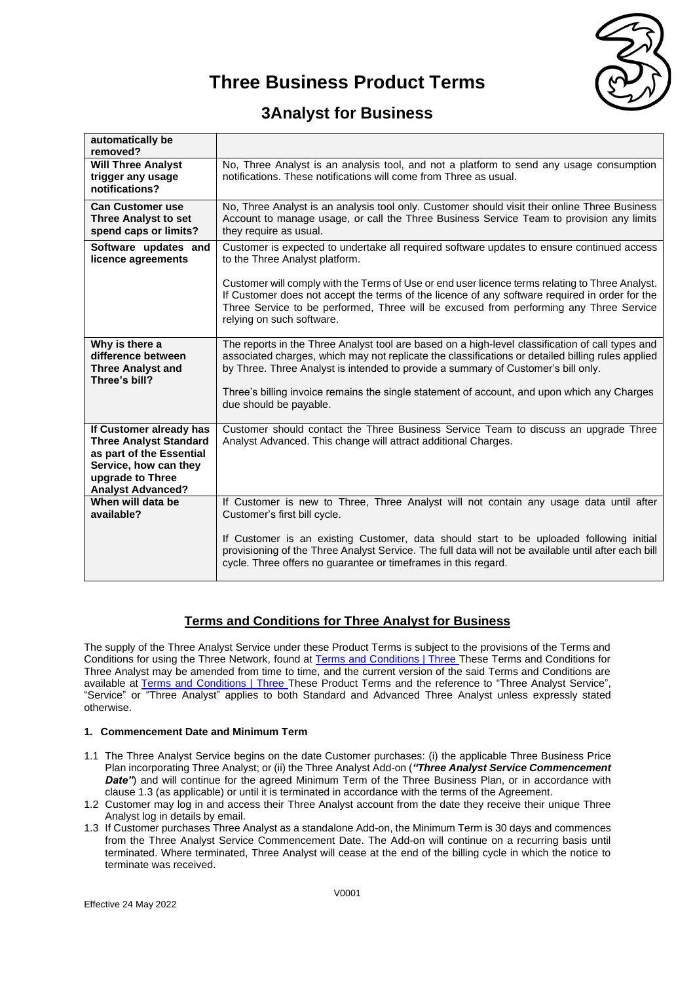

### **3Analyst for Business**

| automatically be<br>removed?                                                                                                                                  |                                                                                                                                                                                                                                                                                                                          |
|---------------------------------------------------------------------------------------------------------------------------------------------------------------|--------------------------------------------------------------------------------------------------------------------------------------------------------------------------------------------------------------------------------------------------------------------------------------------------------------------------|
| <b>Will Three Analyst</b><br>trigger any usage<br>notifications?                                                                                              | No, Three Analyst is an analysis tool, and not a platform to send any usage consumption<br>notifications. These notifications will come from Three as usual.                                                                                                                                                             |
| <b>Can Customer use</b><br><b>Three Analyst to set</b><br>spend caps or limits?                                                                               | No, Three Analyst is an analysis tool only. Customer should visit their online Three Business<br>Account to manage usage, or call the Three Business Service Team to provision any limits<br>they require as usual.                                                                                                      |
| Software updates and<br>licence agreements                                                                                                                    | Customer is expected to undertake all required software updates to ensure continued access<br>to the Three Analyst platform.                                                                                                                                                                                             |
|                                                                                                                                                               | Customer will comply with the Terms of Use or end user licence terms relating to Three Analyst.<br>If Customer does not accept the terms of the licence of any software required in order for the<br>Three Service to be performed, Three will be excused from performing any Three Service<br>relying on such software. |
| Why is there a<br>difference between<br><b>Three Analyst and</b><br>Three's bill?                                                                             | The reports in the Three Analyst tool are based on a high-level classification of call types and<br>associated charges, which may not replicate the classifications or detailed billing rules applied<br>by Three. Three Analyst is intended to provide a summary of Customer's bill only.                               |
|                                                                                                                                                               | Three's billing invoice remains the single statement of account, and upon which any Charges<br>due should be payable.                                                                                                                                                                                                    |
| If Customer already has<br><b>Three Analyst Standard</b><br>as part of the Essential<br>Service, how can they<br>upgrade to Three<br><b>Analyst Advanced?</b> | Customer should contact the Three Business Service Team to discuss an upgrade Three<br>Analyst Advanced. This change will attract additional Charges.                                                                                                                                                                    |
| When will data be<br>available?                                                                                                                               | If Customer is new to Three, Three Analyst will not contain any usage data until after<br>Customer's first bill cycle.                                                                                                                                                                                                   |
|                                                                                                                                                               | If Customer is an existing Customer, data should start to be uploaded following initial<br>provisioning of the Three Analyst Service. The full data will not be available until after each bill<br>cycle. Three offers no guarantee or timeframes in this regard.                                                        |

### **Terms and Conditions for Three Analyst for Business**

The supply of the Three Analyst Service under these Product Terms is subject to the provisions of the Terms and Conditions for using the Three Network, found at [Terms and Conditions | Three](https://www.three.co.uk/terms-conditions) These Terms and Conditions for Three Analyst may be amended from time to time, and the current version of the said Terms and Conditions are available at [Terms and Conditions | Three](https://www.three.co.uk/terms-conditions) These Product Terms and the reference to "Three Analyst Service", "Service" or "Three Analyst" applies to both Standard and Advanced Three Analyst unless expressly stated otherwise.

### **1. Commencement Date and Minimum Term**

- 1.1 The Three Analyst Service begins on the date Customer purchases: (i) the applicable Three Business Price Plan incorporating Three Analyst; or (ii) the Three Analyst Add-on (*"Three Analyst Service Commencement*  **Date"**) and will continue for the agreed Minimum Term of the Three Business Plan, or in accordance with clause 1.3 (as applicable) or until it is terminated in accordance with the terms of the Agreement.
- 1.2 Customer may log in and access their Three Analyst account from the date they receive their unique Three Analyst log in details by email.
- 1.3 If Customer purchases Three Analyst as a standalone Add-on, the Minimum Term is 30 days and commences from the Three Analyst Service Commencement Date. The Add-on will continue on a recurring basis until terminated. Where terminated, Three Analyst will cease at the end of the billing cycle in which the notice to terminate was received.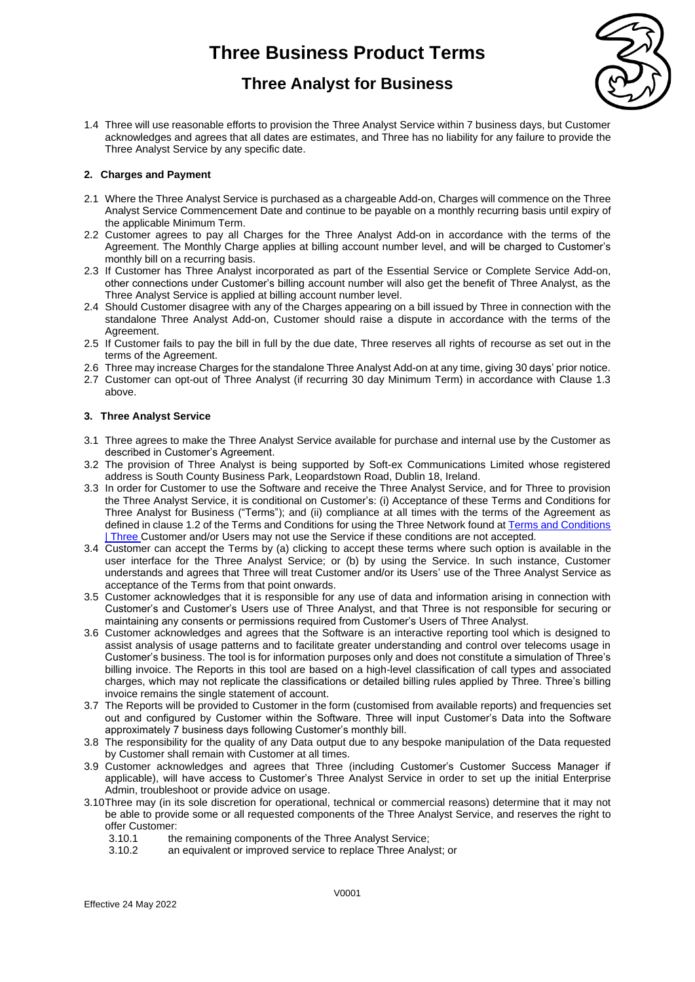## **Three Analyst for Business**



1.4 Three will use reasonable efforts to provision the Three Analyst Service within 7 business days, but Customer acknowledges and agrees that all dates are estimates, and Three has no liability for any failure to provide the Three Analyst Service by any specific date.

### **2. Charges and Payment**

- 2.1 Where the Three Analyst Service is purchased as a chargeable Add-on, Charges will commence on the Three Analyst Service Commencement Date and continue to be payable on a monthly recurring basis until expiry of the applicable Minimum Term.
- 2.2 Customer agrees to pay all Charges for the Three Analyst Add-on in accordance with the terms of the Agreement. The Monthly Charge applies at billing account number level, and will be charged to Customer's monthly bill on a recurring basis.
- 2.3 If Customer has Three Analyst incorporated as part of the Essential Service or Complete Service Add-on, other connections under Customer's billing account number will also get the benefit of Three Analyst, as the Three Analyst Service is applied at billing account number level.
- 2.4 Should Customer disagree with any of the Charges appearing on a bill issued by Three in connection with the standalone Three Analyst Add-on, Customer should raise a dispute in accordance with the terms of the Agreement
- 2.5 If Customer fails to pay the bill in full by the due date, Three reserves all rights of recourse as set out in the terms of the Agreement.
- 2.6 Three may increase Charges for the standalone Three Analyst Add-on at any time, giving 30 days' prior notice.
- 2.7 Customer can opt-out of Three Analyst (if recurring 30 day Minimum Term) in accordance with Clause 1.3 above.

### **3. Three Analyst Service**

- 3.1 Three agrees to make the Three Analyst Service available for purchase and internal use by the Customer as described in Customer's Agreement.
- 3.2 The provision of Three Analyst is being supported by Soft-ex Communications Limited whose registered address is South County Business Park, Leopardstown Road, Dublin 18, Ireland.
- 3.3 In order for Customer to use the Software and receive the Three Analyst Service, and for Three to provision the Three Analyst Service, it is conditional on Customer's: (i) Acceptance of these Terms and Conditions for Three Analyst for Business ("Terms"); and (ii) compliance at all times with the terms of the Agreement as defined in clause 1.2 of the Terms and Conditions for using the Three Network found a[t Terms and Conditions](https://www.three.co.uk/terms-conditions)  [| Three](https://www.three.co.uk/terms-conditions) Customer and/or Users may not use the Service if these conditions are not accepted.
- 3.4 Customer can accept the Terms by (a) clicking to accept these terms where such option is available in the user interface for the Three Analyst Service; or (b) by using the Service. In such instance, Customer understands and agrees that Three will treat Customer and/or its Users' use of the Three Analyst Service as acceptance of the Terms from that point onwards.
- 3.5 Customer acknowledges that it is responsible for any use of data and information arising in connection with Customer's and Customer's Users use of Three Analyst, and that Three is not responsible for securing or maintaining any consents or permissions required from Customer's Users of Three Analyst.
- 3.6 Customer acknowledges and agrees that the Software is an interactive reporting tool which is designed to assist analysis of usage patterns and to facilitate greater understanding and control over telecoms usage in Customer's business. The tool is for information purposes only and does not constitute a simulation of Three's billing invoice. The Reports in this tool are based on a high-level classification of call types and associated charges, which may not replicate the classifications or detailed billing rules applied by Three. Three's billing invoice remains the single statement of account.
- 3.7 The Reports will be provided to Customer in the form (customised from available reports) and frequencies set out and configured by Customer within the Software. Three will input Customer's Data into the Software approximately 7 business days following Customer's monthly bill.
- 3.8 The responsibility for the quality of any Data output due to any bespoke manipulation of the Data requested by Customer shall remain with Customer at all times.
- 3.9 Customer acknowledges and agrees that Three (including Customer's Customer Success Manager if applicable), will have access to Customer's Three Analyst Service in order to set up the initial Enterprise Admin, troubleshoot or provide advice on usage.
- 3.10Three may (in its sole discretion for operational, technical or commercial reasons) determine that it may not be able to provide some or all requested components of the Three Analyst Service, and reserves the right to offer Customer:
	- 3.10.1 the remaining components of the Three Analyst Service;
	- 3.10.2 an equivalent or improved service to replace Three Analyst; or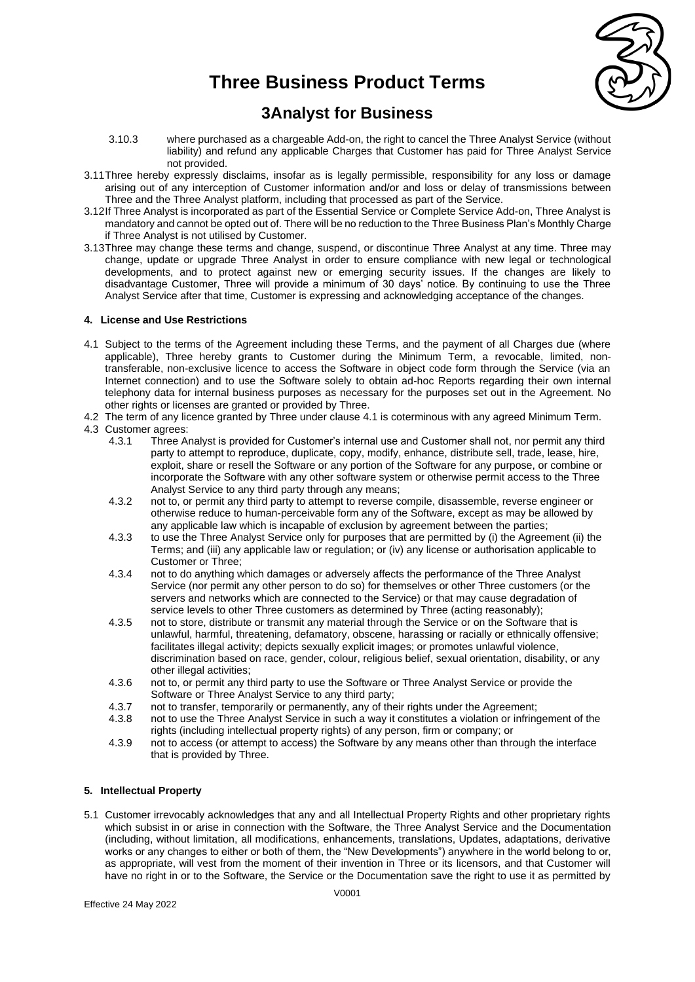

### **3Analyst for Business**

- 3.10.3 where purchased as a chargeable Add-on, the right to cancel the Three Analyst Service (without liability) and refund any applicable Charges that Customer has paid for Three Analyst Service not provided.
- 3.11Three hereby expressly disclaims, insofar as is legally permissible, responsibility for any loss or damage arising out of any interception of Customer information and/or and loss or delay of transmissions between Three and the Three Analyst platform, including that processed as part of the Service.
- 3.12If Three Analyst is incorporated as part of the Essential Service or Complete Service Add-on, Three Analyst is mandatory and cannot be opted out of. There will be no reduction to the Three Business Plan's Monthly Charge if Three Analyst is not utilised by Customer.
- 3.13Three may change these terms and change, suspend, or discontinue Three Analyst at any time. Three may change, update or upgrade Three Analyst in order to ensure compliance with new legal or technological developments, and to protect against new or emerging security issues. If the changes are likely to disadvantage Customer, Three will provide a minimum of 30 days' notice. By continuing to use the Three Analyst Service after that time, Customer is expressing and acknowledging acceptance of the changes.

### **4. License and Use Restrictions**

- 4.1 Subject to the terms of the Agreement including these Terms, and the payment of all Charges due (where applicable), Three hereby grants to Customer during the Minimum Term, a revocable, limited, nontransferable, non-exclusive licence to access the Software in object code form through the Service (via an Internet connection) and to use the Software solely to obtain ad-hoc Reports regarding their own internal telephony data for internal business purposes as necessary for the purposes set out in the Agreement. No other rights or licenses are granted or provided by Three.
- 4.2 The term of any licence granted by Three under clause 4.1 is coterminous with any agreed Minimum Term.
- 4.3 Customer agrees:
	- 4.3.1 Three Analyst is provided for Customer's internal use and Customer shall not, nor permit any third party to attempt to reproduce, duplicate, copy, modify, enhance, distribute sell, trade, lease, hire, exploit, share or resell the Software or any portion of the Software for any purpose, or combine or incorporate the Software with any other software system or otherwise permit access to the Three Analyst Service to any third party through any means;
	- 4.3.2 not to, or permit any third party to attempt to reverse compile, disassemble, reverse engineer or otherwise reduce to human-perceivable form any of the Software, except as may be allowed by any applicable law which is incapable of exclusion by agreement between the parties;
	- 4.3.3 to use the Three Analyst Service only for purposes that are permitted by (i) the Agreement (ii) the Terms; and (iii) any applicable law or regulation; or (iv) any license or authorisation applicable to Customer or Three;
	- 4.3.4 not to do anything which damages or adversely affects the performance of the Three Analyst Service (nor permit any other person to do so) for themselves or other Three customers (or the servers and networks which are connected to the Service) or that may cause degradation of service levels to other Three customers as determined by Three (acting reasonably);
	- 4.3.5 not to store, distribute or transmit any material through the Service or on the Software that is unlawful, harmful, threatening, defamatory, obscene, harassing or racially or ethnically offensive; facilitates illegal activity; depicts sexually explicit images; or promotes unlawful violence, discrimination based on race, gender, colour, religious belief, sexual orientation, disability, or any other illegal activities;
	- 4.3.6 not to, or permit any third party to use the Software or Three Analyst Service or provide the Software or Three Analyst Service to any third party;
	- 4.3.7 not to transfer, temporarily or permanently, any of their rights under the Agreement;
	- 4.3.8 not to use the Three Analyst Service in such a way it constitutes a violation or infringement of the rights (including intellectual property rights) of any person, firm or company; or
	- 4.3.9 not to access (or attempt to access) the Software by any means other than through the interface that is provided by Three.

### **5. Intellectual Property**

5.1 Customer irrevocably acknowledges that any and all Intellectual Property Rights and other proprietary rights which subsist in or arise in connection with the Software, the Three Analyst Service and the Documentation (including, without limitation, all modifications, enhancements, translations, Updates, adaptations, derivative works or any changes to either or both of them, the "New Developments") anywhere in the world belong to or, as appropriate, will vest from the moment of their invention in Three or its licensors, and that Customer will have no right in or to the Software, the Service or the Documentation save the right to use it as permitted by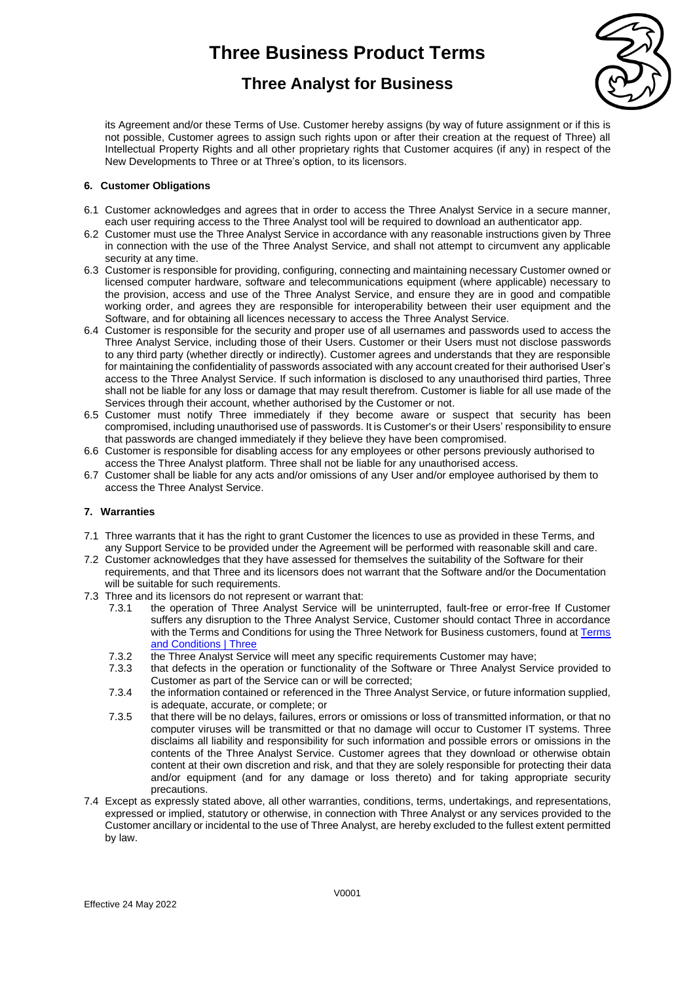## **Three Analyst for Business**



its Agreement and/or these Terms of Use. Customer hereby assigns (by way of future assignment or if this is not possible, Customer agrees to assign such rights upon or after their creation at the request of Three) all Intellectual Property Rights and all other proprietary rights that Customer acquires (if any) in respect of the New Developments to Three or at Three's option, to its licensors.

### **6. Customer Obligations**

- 6.1 Customer acknowledges and agrees that in order to access the Three Analyst Service in a secure manner, each user requiring access to the Three Analyst tool will be required to download an authenticator app.
- 6.2 Customer must use the Three Analyst Service in accordance with any reasonable instructions given by Three in connection with the use of the Three Analyst Service, and shall not attempt to circumvent any applicable security at any time.
- 6.3 Customer is responsible for providing, configuring, connecting and maintaining necessary Customer owned or licensed computer hardware, software and telecommunications equipment (where applicable) necessary to the provision, access and use of the Three Analyst Service, and ensure they are in good and compatible working order, and agrees they are responsible for interoperability between their user equipment and the Software, and for obtaining all licences necessary to access the Three Analyst Service.
- 6.4 Customer is responsible for the security and proper use of all usernames and passwords used to access the Three Analyst Service, including those of their Users. Customer or their Users must not disclose passwords to any third party (whether directly or indirectly). Customer agrees and understands that they are responsible for maintaining the confidentiality of passwords associated with any account created for their authorised User's access to the Three Analyst Service. If such information is disclosed to any unauthorised third parties, Three shall not be liable for any loss or damage that may result therefrom. Customer is liable for all use made of the Services through their account, whether authorised by the Customer or not.
- 6.5 Customer must notify Three immediately if they become aware or suspect that security has been compromised, including unauthorised use of passwords. It is Customer's or their Users' responsibility to ensure that passwords are changed immediately if they believe they have been compromised.
- 6.6 Customer is responsible for disabling access for any employees or other persons previously authorised to access the Three Analyst platform. Three shall not be liable for any unauthorised access.
- 6.7 Customer shall be liable for any acts and/or omissions of any User and/or employee authorised by them to access the Three Analyst Service.

### **7. Warranties**

- 7.1 Three warrants that it has the right to grant Customer the licences to use as provided in these Terms, and any Support Service to be provided under the Agreement will be performed with reasonable skill and care.
- 7.2 Customer acknowledges that they have assessed for themselves the suitability of the Software for their requirements, and that Three and its licensors does not warrant that the Software and/or the Documentation will be suitable for such requirements.
- 7.3 Three and its licensors do not represent or warrant that:
	- 7.3.1 the operation of Three Analyst Service will be uninterrupted, fault-free or error-free If Customer suffers any disruption to the Three Analyst Service, Customer should contact Three in accordance with the Terms and Conditions for using the Three Network for Business customers, found at [Terms](https://www.three.co.uk/terms-conditions)  [and Conditions | Three](https://www.three.co.uk/terms-conditions)
	- 7.3.2 the Three Analyst Service will meet any specific requirements Customer may have;<br>7.3.3 that defects in the operation or functionality of the Software or Three Analyst Serv
	- that defects in the operation or functionality of the Software or Three Analyst Service provided to Customer as part of the Service can or will be corrected;
	- 7.3.4 the information contained or referenced in the Three Analyst Service, or future information supplied, is adequate, accurate, or complete; or
	- 7.3.5 that there will be no delays, failures, errors or omissions or loss of transmitted information, or that no computer viruses will be transmitted or that no damage will occur to Customer IT systems. Three disclaims all liability and responsibility for such information and possible errors or omissions in the contents of the Three Analyst Service. Customer agrees that they download or otherwise obtain content at their own discretion and risk, and that they are solely responsible for protecting their data and/or equipment (and for any damage or loss thereto) and for taking appropriate security precautions.
- 7.4 Except as expressly stated above, all other warranties, conditions, terms, undertakings, and representations, expressed or implied, statutory or otherwise, in connection with Three Analyst or any services provided to the Customer ancillary or incidental to the use of Three Analyst, are hereby excluded to the fullest extent permitted by law.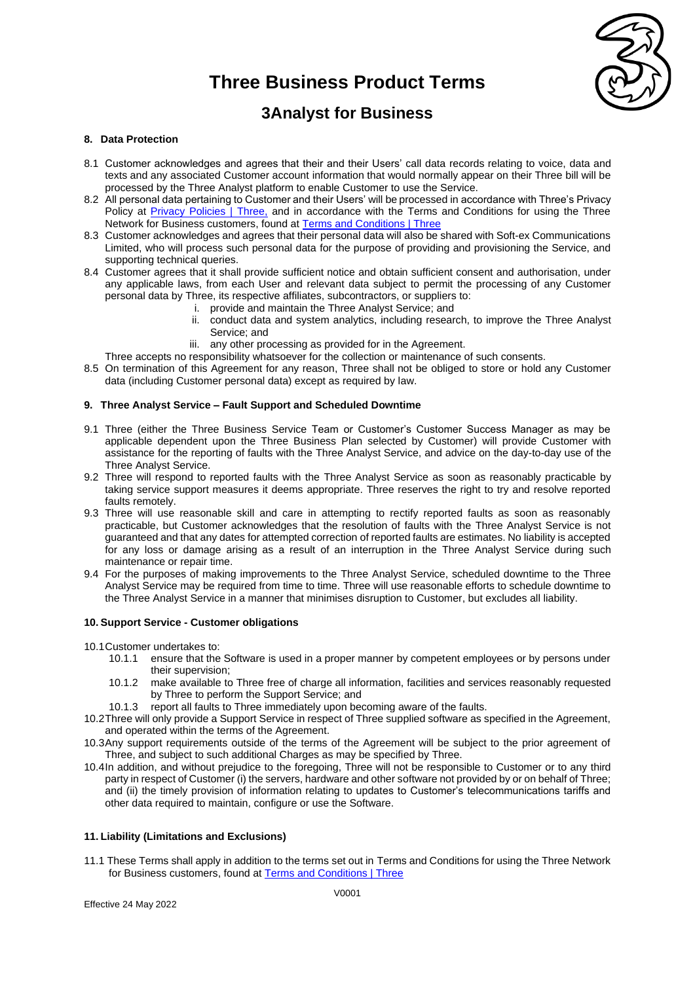

### **3Analyst for Business**

### **8. Data Protection**

- 8.1 Customer acknowledges and agrees that their and their Users' call data records relating to voice, data and texts and any associated Customer account information that would normally appear on their Three bill will be processed by the Three Analyst platform to enable Customer to use the Service.
- 8.2 All personal data pertaining to Customer and their Users' will be processed in accordance with Three's Privacy Policy at [Privacy Policies | Three,](https://www.three.co.uk/privacy_safety/privacy_policies) and in accordance with the Terms and Conditions for using the Three Network for Business customers, found at [Terms and Conditions | Three](https://www.three.co.uk/terms-conditions)
- 8.3 Customer acknowledges and agrees that their personal data will also be shared with Soft-ex Communications Limited, who will process such personal data for the purpose of providing and provisioning the Service, and supporting technical queries.
- 8.4 Customer agrees that it shall provide sufficient notice and obtain sufficient consent and authorisation, under any applicable laws, from each User and relevant data subject to permit the processing of any Customer personal data by Three, its respective affiliates, subcontractors, or suppliers to:
	- i. provide and maintain the Three Analyst Service; and
	- ii. conduct data and system analytics, including research, to improve the Three Analyst Service; and
	- iii. any other processing as provided for in the Agreement.
	- Three accepts no responsibility whatsoever for the collection or maintenance of such consents.
- 8.5 On termination of this Agreement for any reason, Three shall not be obliged to store or hold any Customer data (including Customer personal data) except as required by law.

### **9. Three Analyst Service – Fault Support and Scheduled Downtime**

- 9.1 Three (either the Three Business Service Team or Customer's Customer Success Manager as may be applicable dependent upon the Three Business Plan selected by Customer) will provide Customer with assistance for the reporting of faults with the Three Analyst Service, and advice on the day-to-day use of the Three Analyst Service.
- 9.2 Three will respond to reported faults with the Three Analyst Service as soon as reasonably practicable by taking service support measures it deems appropriate. Three reserves the right to try and resolve reported faults remotely.
- 9.3 Three will use reasonable skill and care in attempting to rectify reported faults as soon as reasonably practicable, but Customer acknowledges that the resolution of faults with the Three Analyst Service is not guaranteed and that any dates for attempted correction of reported faults are estimates. No liability is accepted for any loss or damage arising as a result of an interruption in the Three Analyst Service during such maintenance or repair time.
- 9.4 For the purposes of making improvements to the Three Analyst Service, scheduled downtime to the Three Analyst Service may be required from time to time. Three will use reasonable efforts to schedule downtime to the Three Analyst Service in a manner that minimises disruption to Customer, but excludes all liability.

### **10. Support Service - Customer obligations**

10.1Customer undertakes to:

- 10.1.1 ensure that the Software is used in a proper manner by competent employees or by persons under their supervision;
- 10.1.2 make available to Three free of charge all information, facilities and services reasonably requested by Three to perform the Support Service; and
- 10.1.3 report all faults to Three immediately upon becoming aware of the faults.
- 10.2Three will only provide a Support Service in respect of Three supplied software as specified in the Agreement, and operated within the terms of the Agreement.
- 10.3Any support requirements outside of the terms of the Agreement will be subject to the prior agreement of Three, and subject to such additional Charges as may be specified by Three.
- 10.4In addition, and without prejudice to the foregoing, Three will not be responsible to Customer or to any third party in respect of Customer (i) the servers, hardware and other software not provided by or on behalf of Three; and (ii) the timely provision of information relating to updates to Customer's telecommunications tariffs and other data required to maintain, configure or use the Software.

### **11. Liability (Limitations and Exclusions)**

11.1 These Terms shall apply in addition to the terms set out in Terms and Conditions for using the Three Network for Business customers, found at [Terms and Conditions | Three](https://www.three.co.uk/terms-conditions)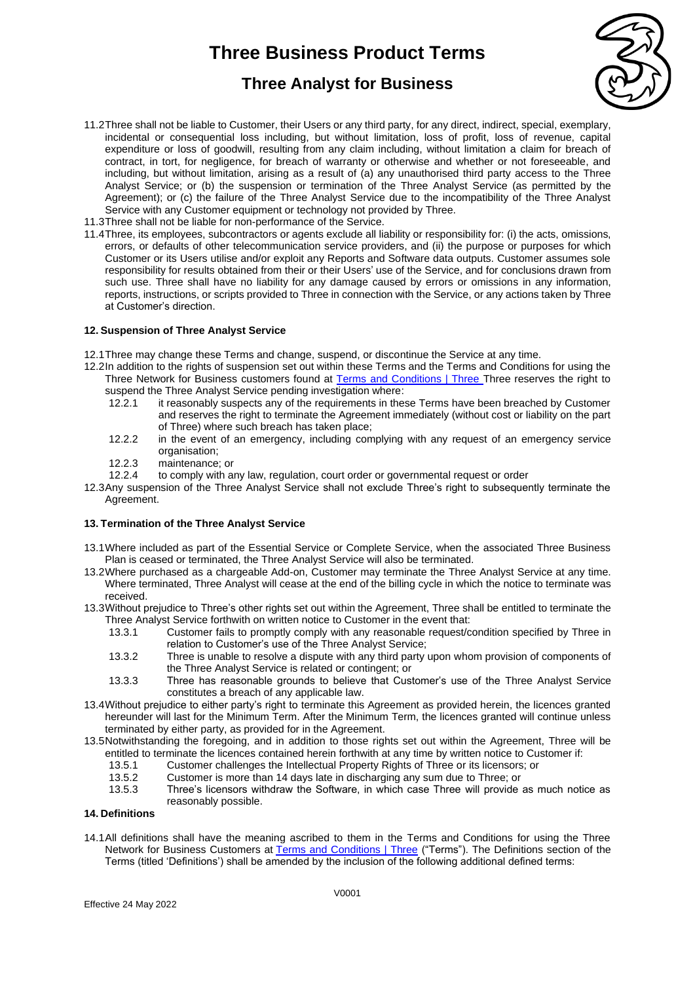## **Three Analyst for Business**



- 11.2Three shall not be liable to Customer, their Users or any third party, for any direct, indirect, special, exemplary, incidental or consequential loss including, but without limitation, loss of profit, loss of revenue, capital expenditure or loss of goodwill, resulting from any claim including, without limitation a claim for breach of contract, in tort, for negligence, for breach of warranty or otherwise and whether or not foreseeable, and including, but without limitation, arising as a result of (a) any unauthorised third party access to the Three Analyst Service; or (b) the suspension or termination of the Three Analyst Service (as permitted by the Agreement); or (c) the failure of the Three Analyst Service due to the incompatibility of the Three Analyst Service with any Customer equipment or technology not provided by Three.
- 11.3Three shall not be liable for non-performance of the Service.
- 11.4Three, its employees, subcontractors or agents exclude all liability or responsibility for: (i) the acts, omissions, errors, or defaults of other telecommunication service providers, and (ii) the purpose or purposes for which Customer or its Users utilise and/or exploit any Reports and Software data outputs. Customer assumes sole responsibility for results obtained from their or their Users' use of the Service, and for conclusions drawn from such use. Three shall have no liability for any damage caused by errors or omissions in any information, reports, instructions, or scripts provided to Three in connection with the Service, or any actions taken by Three at Customer's direction.

### **12. Suspension of Three Analyst Service**

12.1Three may change these Terms and change, suspend, or discontinue the Service at any time.

- 12.2In addition to the rights of suspension set out within these Terms and the Terms and Conditions for using the Three Network for Business customers found at [Terms and Conditions | Three](https://www.three.co.uk/terms-conditions) Three reserves the right to suspend the Three Analyst Service pending investigation where:
	- 12.2.1 it reasonably suspects any of the requirements in these Terms have been breached by Customer and reserves the right to terminate the Agreement immediately (without cost or liability on the part of Three) where such breach has taken place;
	- 12.2.2 in the event of an emergency, including complying with any request of an emergency service organisation;
	- 12.2.3 maintenance; or
	- 12.2.4 to comply with any law, regulation, court order or governmental request or order
- 12.3Any suspension of the Three Analyst Service shall not exclude Three's right to subsequently terminate the Agreement.

### **13. Termination of the Three Analyst Service**

- 13.1Where included as part of the Essential Service or Complete Service, when the associated Three Business Plan is ceased or terminated, the Three Analyst Service will also be terminated.
- 13.2Where purchased as a chargeable Add-on, Customer may terminate the Three Analyst Service at any time. Where terminated, Three Analyst will cease at the end of the billing cycle in which the notice to terminate was received.
- 13.3Without prejudice to Three's other rights set out within the Agreement, Three shall be entitled to terminate the Three Analyst Service forthwith on written notice to Customer in the event that:
	- 13.3.1 Customer fails to promptly comply with any reasonable request/condition specified by Three in relation to Customer's use of the Three Analyst Service;
	- 13.3.2 Three is unable to resolve a dispute with any third party upon whom provision of components of the Three Analyst Service is related or contingent; or
	- 13.3.3 Three has reasonable grounds to believe that Customer's use of the Three Analyst Service constitutes a breach of any applicable law.
- 13.4Without prejudice to either party's right to terminate this Agreement as provided herein, the licences granted hereunder will last for the Minimum Term. After the Minimum Term, the licences granted will continue unless terminated by either party, as provided for in the Agreement.
- 13.5Notwithstanding the foregoing, and in addition to those rights set out within the Agreement, Three will be entitled to terminate the licences contained herein forthwith at any time by written notice to Customer if:
	- 13.5.1 Customer challenges the Intellectual Property Rights of Three or its licensors; or
	- 13.5.2 Customer is more than 14 days late in discharging any sum due to Three; or
	- 13.5.3 Three's licensors withdraw the Software, in which case Three will provide as much notice as reasonably possible.

### **14. Definitions**

14.1All definitions shall have the meaning ascribed to them in the Terms and Conditions for using the Three Network for Business Customers at [Terms and Conditions | Three](https://www.three.co.uk/terms-conditions) ("Terms"). The Definitions section of the Terms (titled 'Definitions') shall be amended by the inclusion of the following additional defined terms: